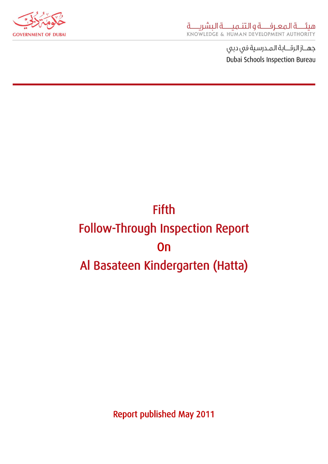

جهــاز الرقـــابة المـدرسية في دبي Dubai Schools Inspection Bureau

# **Fifth** Follow-Through Inspection Report On Al Basateen Kindergarten (Hatta)

Report published May 2011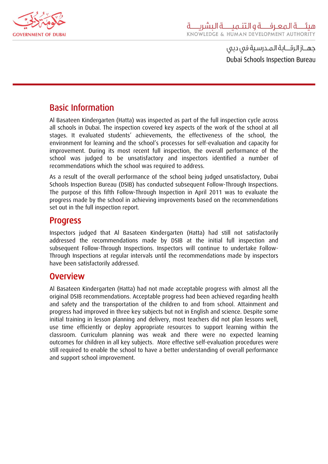

جهـــاز الرقـــابة الـمــدرسـية فى دبى Dubai Schools Inspection Bureau

## Basic Information

Al Basateen Kindergarten (Hatta) was inspected as part of the full inspection cycle across all schools in Dubai. The inspection covered key aspects of the work of the school at all stages. It evaluated students' achievements, the effectiveness of the school, the environment for learning and the school's processes for self-evaluation and capacity for improvement. During its most recent full inspection, the overall performance of the school was judged to be unsatisfactory and inspectors identified a number of recommendations which the school was required to address.

As a result of the overall performance of the school being judged unsatisfactory, Dubai Schools Inspection Bureau (DSIB) has conducted subsequent Follow-Through Inspections. The purpose of this fifth Follow-Through Inspection in April 2011 was to evaluate the progress made by the school in achieving improvements based on the recommendations set out in the full inspection report.

### Progress

Inspectors judged that Al Basateen Kindergarten (Hatta) had still not satisfactorily addressed the recommendations made by DSIB at the initial full inspection and subsequent Follow-Through Inspections. Inspectors will continue to undertake Follow-Through Inspections at regular intervals until the recommendations made by inspectors have been satisfactorily addressed.

## Overview

Al Basateen Kindergarten (Hatta) had not made acceptable progress with almost all the original DSIB recommendations. Acceptable progress had been achieved regarding health and safety and the transportation of the children to and from school. Attainment and progress had improved in three key subjects but not in English and science. Despite some initial training in lesson planning and delivery, most teachers did not plan lessons well, use time efficiently or deploy appropriate resources to support learning within the classroom. Curriculum planning was weak and there were no expected learning outcomes for children in all key subjects. More effective self-evaluation procedures were still required to enable the school to have a better understanding of overall performance and support school improvement.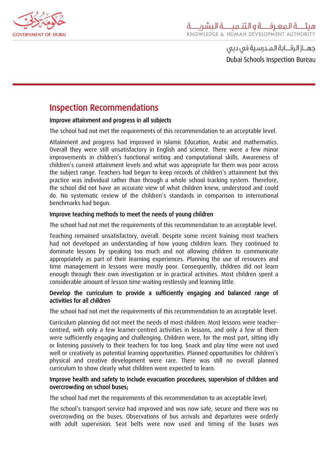

جهـــاز الـرقـــابة الـمــدرسـية فى دبى **Dubai Schools Inspection Bureau** 

# Inspection Recommendations

#### Improve attainment and progress in all subjects

The school had not met the requirements of this recommendation to an acceptable level.

Attainment and progress had improved in Islamic Education, Arabic and mathematics. Overall they were still unsatisfactory in English and science. There were a few minor improvements in children's functional writing and computational skills. Awareness of children's current attainment levels and what was appropriate for them was poor across the subject range. Teachers had begun to keep records of children's attainment but this practice was individual rather than through a whole school tracking system. Therefore, the school did not have an accurate view of what children knew, understood and could do. No systematic review of the children's standards in comparison to international benchmarks had begun.

#### Improve teaching methods to meet the needs of young children

The school had not met the requirements of this recommendation to an acceptable level.

Teaching remained unsatisfactory, overall. Despite some recent training most teachers had not developed an understanding of how young children learn. They continued to dominate lessons by speaking too much and not allowing children to communicate appropriately as part of their learning experiences. Planning the use of resources and time management in lessons were mostly poor. Consequently, children did not learn enough through their own investigation or in practical activities. Most children spent a considerable amount of lesson time waiting restlessly and learning little.

#### Develop the curriculum to provide a sufficiently engaging and balanced range of activities for all children

The school had not met the requirements of this recommendation to an acceptable level.

Curriculum planning did not meet the needs of most children. Most lessons were teachercentred, with only a few learner-centred activities in lessons, and only a few of them were sufficiently engaging and challenging. Children were, for the most part, sitting idly or listening passively to their teachers for too long. Snack and play time were not used well or creatively as potential learning opportunities. Planned opportunities for children's physical and creative development were rare. There was still no overall planned curriculum to show clearly what children were expected to learn.

#### Improve health and safety to include evacuation procedures, supervision of children and overcrowding on school buses;

The school had met the requirements of this recommendation to an acceptable level;

The school's transport service had improved and was now safe, secure and there was no overcrowding on the buses. Observations of bus arrivals and departures were orderly with adult supervision. Seat belts were now used and timing of the buses was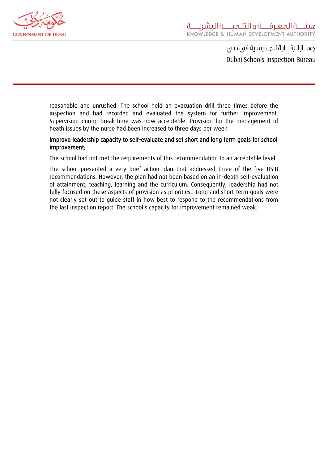

جهــاز الرقـــابة الـمــدرسـية فى دبى Dubai Schools Inspection Bureau

reasonable and unrushed. The school held an evacuation drill three times before the inspection and had recorded and evaluated the system for further improvement. Supervision during break-time was now acceptable. Provision for the management of heath issues by the nurse had been increased to three days per week.

#### Improve leadership capacity to self-evaluate and set short and long term goals for school improvement;

The school had not met the requirements of this recommendation to an acceptable level.

The school presented a very brief action plan that addressed three of the five DSIB recommendations. However, the plan had not been based on an in-depth self-evaluation of attainment, teaching, learning and the curriculum. Consequently, leadership had not fully focused on these aspects of provision as priorities. Long and short-term goals were not clearly set out to guide staff in how best to respond to the recommendations from the last inspection report. The school's capacity for improvement remained weak.